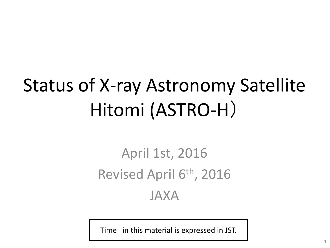# Status of X-ray Astronomy Satellite Hitomi (ASTRO-H)

### April 1st, 2016 Revised April 6<sup>th</sup>, 2016 JAXA

Time in this material is expressed in JST.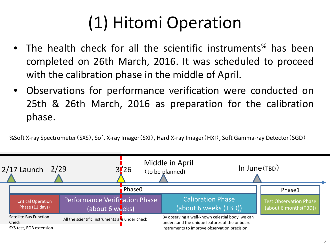## (1) Hitomi Operation

- The health check for all the scientific instruments<sup>%</sup> has been completed on 26th March, 2016. It was scheduled to proceed with the calibration phase in the middle of April.
- Observations for performance verification were conducted on 25th & 26th March, 2016 as preparation for the calibration phase.

%Soft X-ray Spectrometer(SXS), Soft X-ray Imager(SXI), Hard X-ray Imager(HXI), Soft Gamma-ray Detector(SGD)

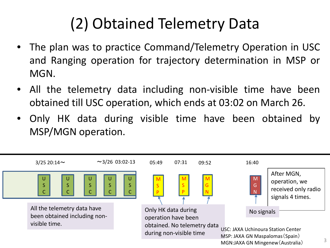## (2) Obtained Telemetry Data

- The plan was to practice Command/Telemetry Operation in USC and Ranging operation for trajectory determination in MSP or MGN.
- All the telemetry data including non-visible time have been obtained till USC operation, which ends at 03:02 on March 26.
- Only HK data during visible time have been obtained by MSP/MGN operation.

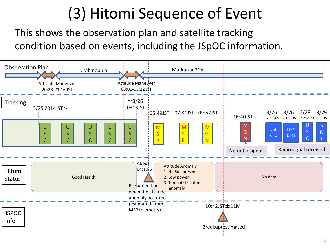### (3) Hitomi Sequence of Event

This shows the observation plan and satellite tracking condition based on events, including the JSpOC information.

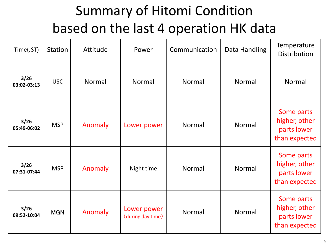#### Summary of Hitomi Condition based on the last 4 operation HK data

| Time(JST)           | Station    | Attitude | Power                            | Communication | Data Handling | Temperature<br><b>Distribution</b>                          |
|---------------------|------------|----------|----------------------------------|---------------|---------------|-------------------------------------------------------------|
| 3/26<br>03:02-03:13 | <b>USC</b> | Normal   | Normal                           | Normal        | Normal        | Normal                                                      |
| 3/26<br>05:49-06:02 | <b>MSP</b> | Anomaly  | Lower power                      | Normal        | Normal        | Some parts<br>higher, other<br>parts lower<br>than expected |
| 3/26<br>07:31-07:44 | <b>MSP</b> | Anomaly  | Night time                       | Normal        | Normal        | Some parts<br>higher, other<br>parts lower<br>than expected |
| 3/26<br>09:52-10:04 | <b>MGN</b> | Anomaly  | Lower power<br>(during day time) | Normal        | Normal        | Some parts<br>higher, other<br>parts lower<br>than expected |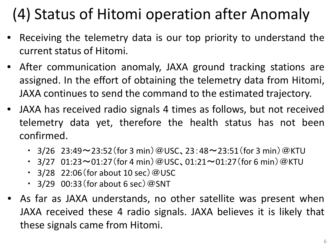### (4) Status of Hitomi operation after Anomaly

- Receiving the telemetry data is our top priority to understand the current status of Hitomi.
- After communication anomaly, JAXA ground tracking stations are assigned. In the effort of obtaining the telemetry data from Hitomi, JAXA continues to send the command to the estimated trajectory.
- JAXA has received radio signals 4 times as follows, but not received telemetry data yet, therefore the health status has not been confirmed.
	- $3/26$  23:49~23:52 (for 3 min) @USC, 23:48~23:51 (for 3 min) @KTU
	- 3/27  $01:23 \sim 01:27$  (for 4 min) @USC,  $01:21 \sim 01:27$  (for 6 min) @KTU
	- $\cdot$  3/28 22:06 (for about 10 sec) @USC
	- $\cdot$  3/29 00:33 (for about 6 sec) @SNT
- As far as JAXA understands, no other satellite was present when JAXA received these 4 radio signals. JAXA believes it is likely that these signals came from Hitomi.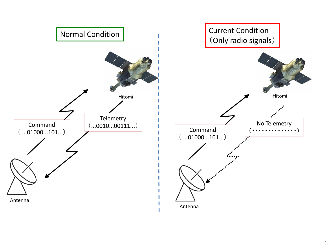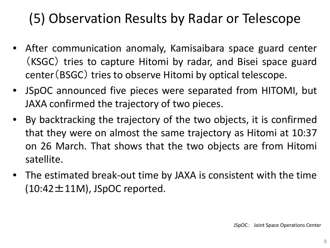#### (5) Observation Results by Radar or Telescope

- After communication anomaly, Kamisaibara space guard center (KSGC) tries to capture Hitomi by radar, and Bisei space guard center(BSGC) tries to observe Hitomi by optical telescope.
- JSpOC announced five pieces were separated from HITOMI, but JAXA confirmed the trajectory of two pieces.
- By backtracking the trajectory of the two objects, it is confirmed that they were on almost the same trajectory as Hitomi at 10:37 on 26 March. That shows that the two objects are from Hitomi satellite.
- The estimated break-out time by JAXA is consistent with the time  $(10:42 \pm 11M)$ , JSpOC reported.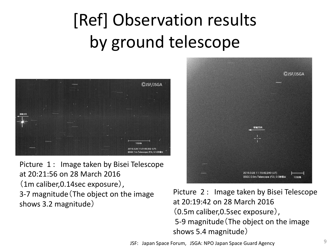# [Ref] Observation results by ground telescope



Picture 1 : Image taken by Bisei Telescope at 20:21:56 on 28 March 2016 (1m caliber,0.14sec exposure), 3-7 magnitude(The object on the image shows 3.2 magnitude)



Picture 2 : Image taken by Bisei Telescope at 20:19:42 on 28 March 2016 (0.5m caliber,0.5sec exposure), 5-9 magnitude(The object on the image shows 5.4 magnitude)